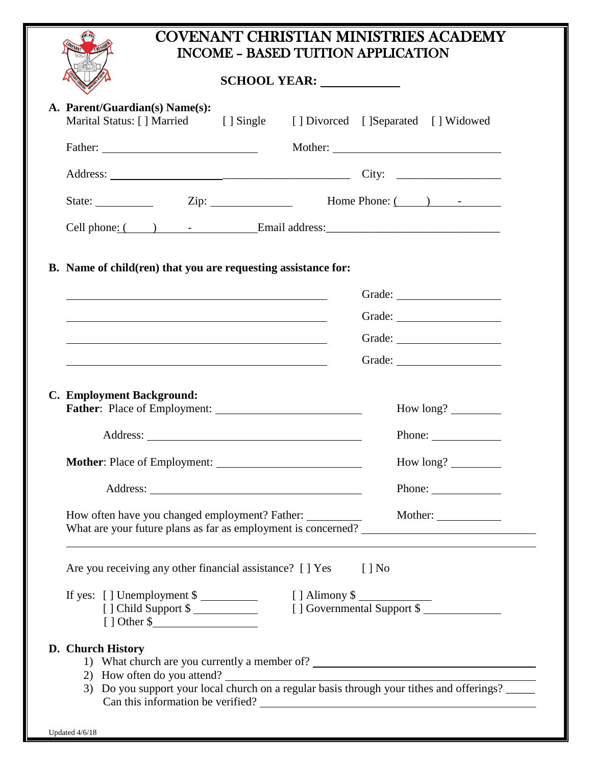| <b>COVENANT CHRISTIAN MINISTRIES ACADEMY</b> |
|----------------------------------------------|
| INCOME - BASED TUITION APPLICATION           |

## **SCHOOL YEAR:**

|                | A. Parent/Guardian(s) Name(s):<br>Marital Status: [] Married                                                                                                  |  | [] Single [] Divorced [] Separated [] Widowed |          |                                        |  |
|----------------|---------------------------------------------------------------------------------------------------------------------------------------------------------------|--|-----------------------------------------------|----------|----------------------------------------|--|
|                |                                                                                                                                                               |  |                                               |          |                                        |  |
|                |                                                                                                                                                               |  |                                               |          |                                        |  |
|                | State: $\qquad \qquad \text{Zip:} \qquad \qquad \text{Home Phone:} \qquad \qquad \text{1} \qquad \text{1}$                                                    |  |                                               |          |                                        |  |
|                |                                                                                                                                                               |  |                                               |          |                                        |  |
|                |                                                                                                                                                               |  |                                               |          |                                        |  |
|                | B. Name of child(ren) that you are requesting assistance for:                                                                                                 |  |                                               |          |                                        |  |
|                |                                                                                                                                                               |  |                                               |          |                                        |  |
|                |                                                                                                                                                               |  |                                               |          | Grade:                                 |  |
|                |                                                                                                                                                               |  |                                               |          |                                        |  |
|                | and the control of the control of the control of the control of the control of the control of the control of the                                              |  |                                               |          |                                        |  |
|                | C. Employment Background:<br>Father: Place of Employment:                                                                                                     |  |                                               |          |                                        |  |
|                |                                                                                                                                                               |  |                                               |          | Phone: $\sqrt{\frac{2}{1-\frac{1}{2}}$ |  |
|                |                                                                                                                                                               |  |                                               |          |                                        |  |
|                |                                                                                                                                                               |  |                                               |          | Phone:                                 |  |
|                | How often have you changed employment? Father:                                                                                                                |  |                                               |          | Mother:                                |  |
|                | What are your future plans as far as employment is concerned?                                                                                                 |  |                                               |          |                                        |  |
|                | Are you receiving any other financial assistance? [ ] Yes                                                                                                     |  |                                               | $[$   No |                                        |  |
|                | If yes: $[ ]$ Unemployment \$<br>[] Alimony \$<br>[] Governmental Support \$                                                                                  |  |                                               |          |                                        |  |
|                | [] Child Support \$                                                                                                                                           |  |                                               |          |                                        |  |
|                | D. Church History                                                                                                                                             |  |                                               |          |                                        |  |
|                | 1) What church are you currently a member of?                                                                                                                 |  |                                               |          |                                        |  |
|                | 2) How often do you attend?<br>3) Do you support your local church on a regular basis through your tithes and offerings?<br>Can this information be verified? |  |                                               |          |                                        |  |
|                |                                                                                                                                                               |  |                                               |          |                                        |  |
| Updated 4/6/18 |                                                                                                                                                               |  |                                               |          |                                        |  |